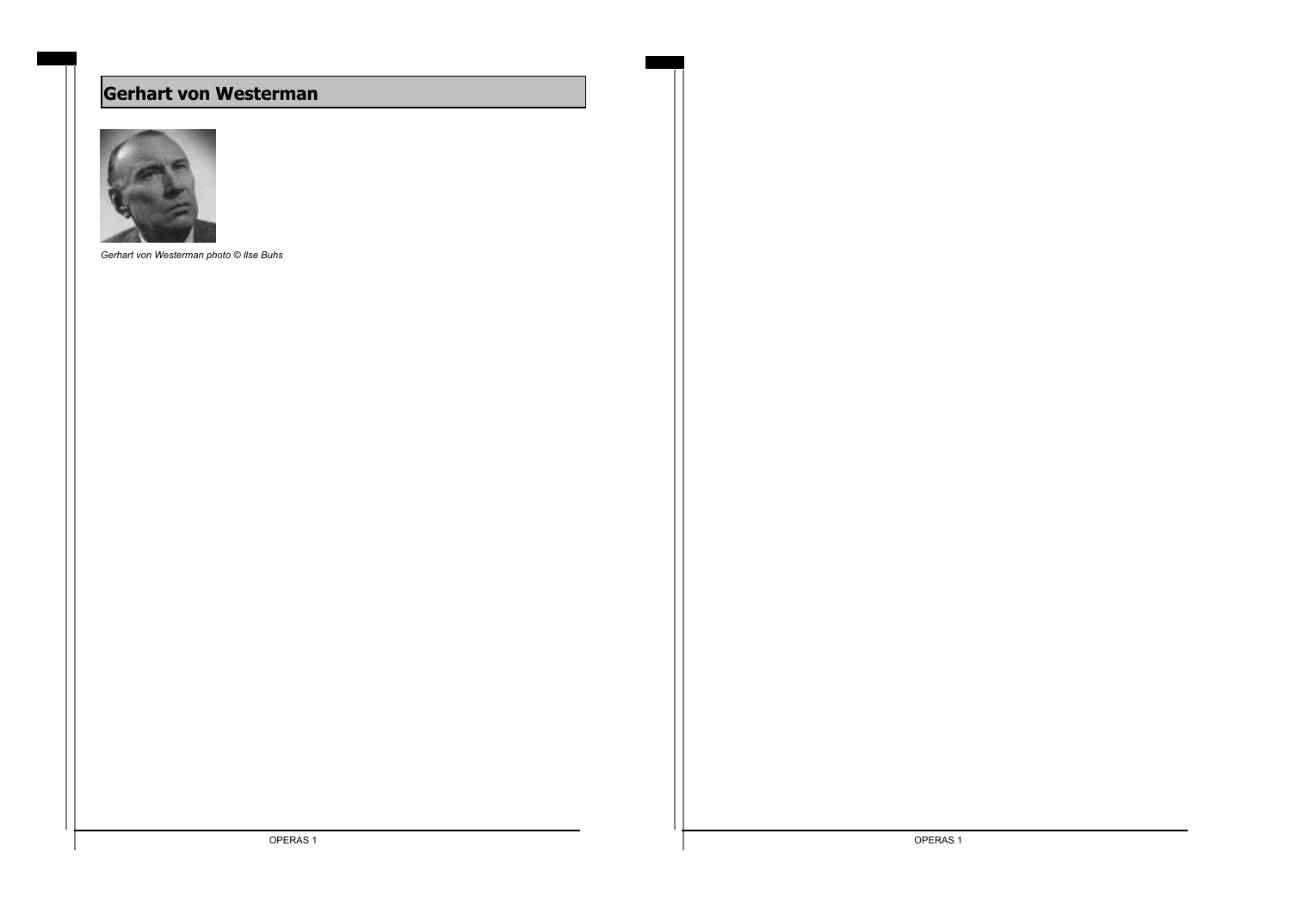# **Gerhart von Westerman**



*Gerhart von Westerman photo © Ilse Buhs*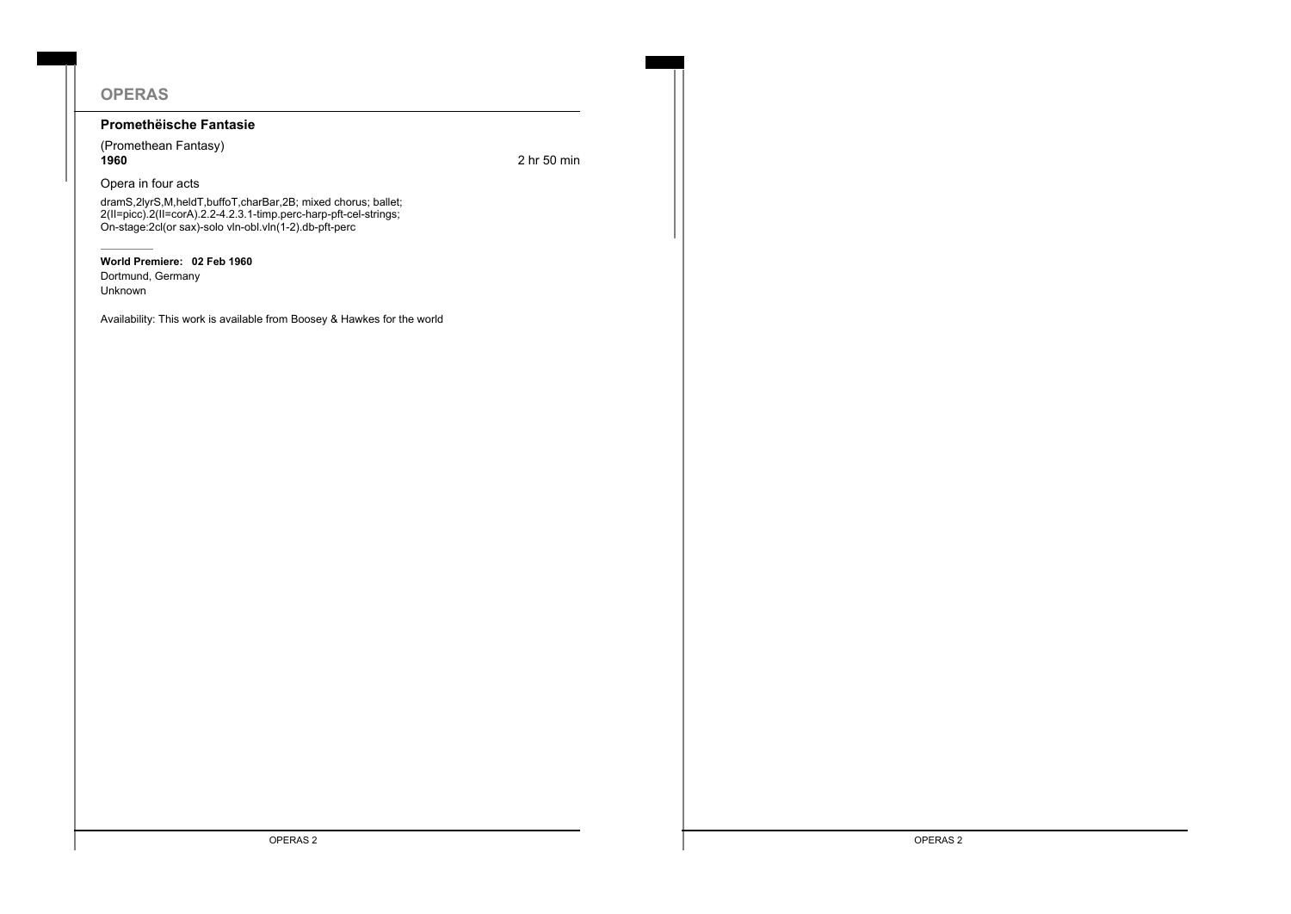# **OPERAS**

### **Promethëische Fantasie**

(Promethean Fantasy) **1960** 2 hr 50 min

#### Opera in four acts

dramS,2lyrS,M,heldT,buffoT,charBar,2B; mixed chorus; ballet; 2(II=picc).2(II=corA).2.2-4.2.3.1-timp.perc-harp-pft-cel-strings; On-stage:2cl(or sax)-solo vln-obl.vln(1-2).db-pft-perc

#### **World Premiere: 02 Feb 1960**

Dortmund, Germany Unknown

Availability: This work is available from Boosey & Hawkes for the world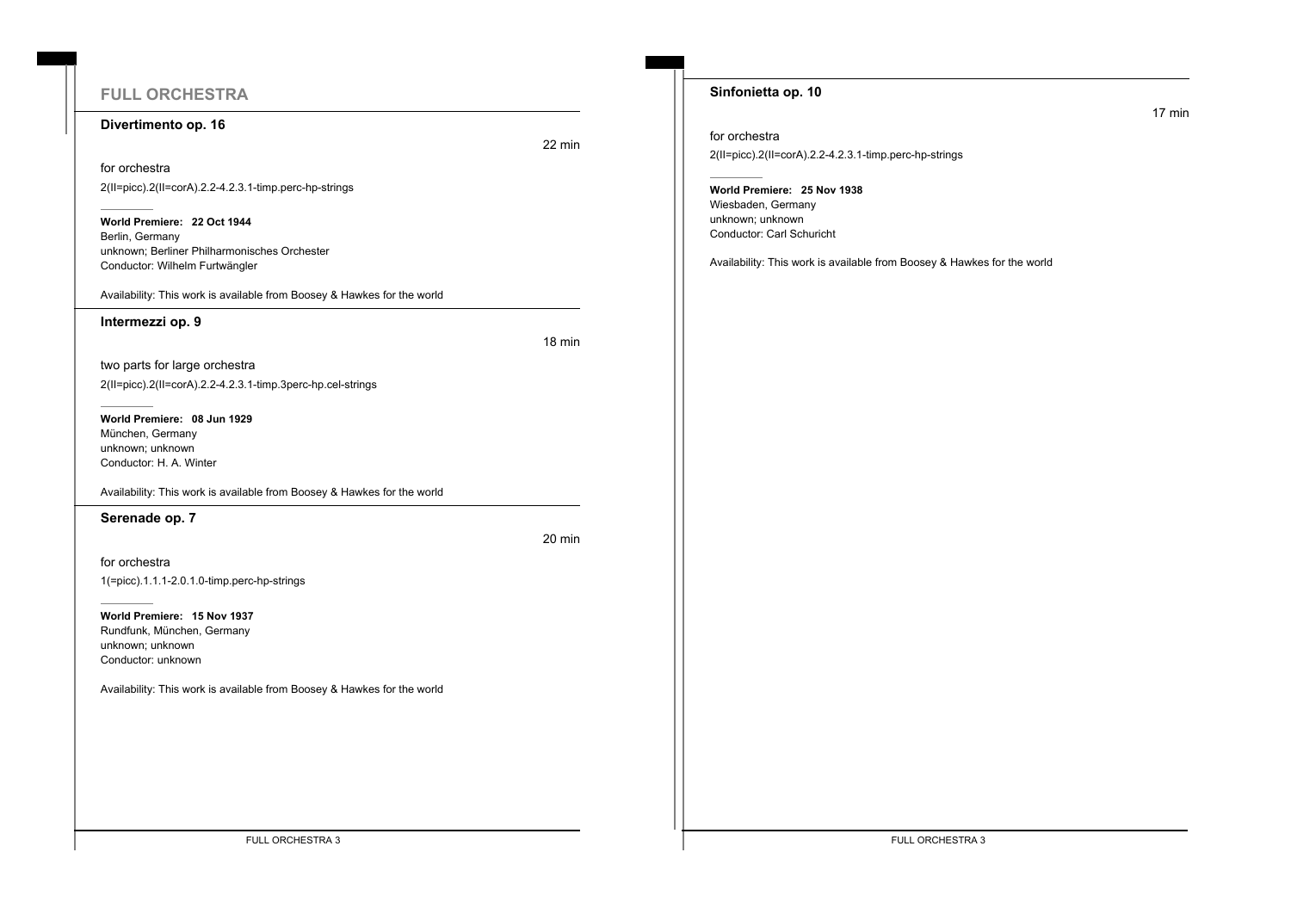# **FULL ORCHESTRA**

#### **Divertimento op. 16**

22 min

for orchestra 2(II=picc).2(II=corA).2.2-4.2.3.1-timp.perc-hp-strings

**World Premiere: 22 Oct 1944** Berlin, Germany unknown; Berliner Philharmonisches Orchester Conductor: Wilhelm Furtwängler

Availability: This work is available from Boosey & Hawkes for the world

#### **Intermezzi op. 9**

18 min

20 min

two parts for large orchestra 2(II=picc).2(II=corA).2.2-4.2.3.1-timp.3perc-hp.cel-strings

**World Premiere: 08 Jun 1929** München, Germany unknown; unknown Conductor: H. A. Winter

Availability: This work is available from Boosey & Hawkes for the world

**Serenade op. 7**

for orchestra

1(=picc).1.1.1-2.0.1.0-timp.perc-hp-strings

**World Premiere: 15 Nov 1937** Rundfunk, München, Germany unknown; unknown Conductor: unknown

Availability: This work is available from Boosey & Hawkes for the world

### **Sinfonietta op. 10**

for orchestra

2(II=picc).2(II=corA).2.2-4.2.3.1-timp.perc-hp-strings

### **World Premiere: 25 Nov 1938**

Wiesbaden, Germany unknown; unknown Conductor: Carl Schuricht

Availability: This work is available from Boosey & Hawkes for the world

FULL ORCHESTRA 3 FULL ORCHESTRA 3

17 min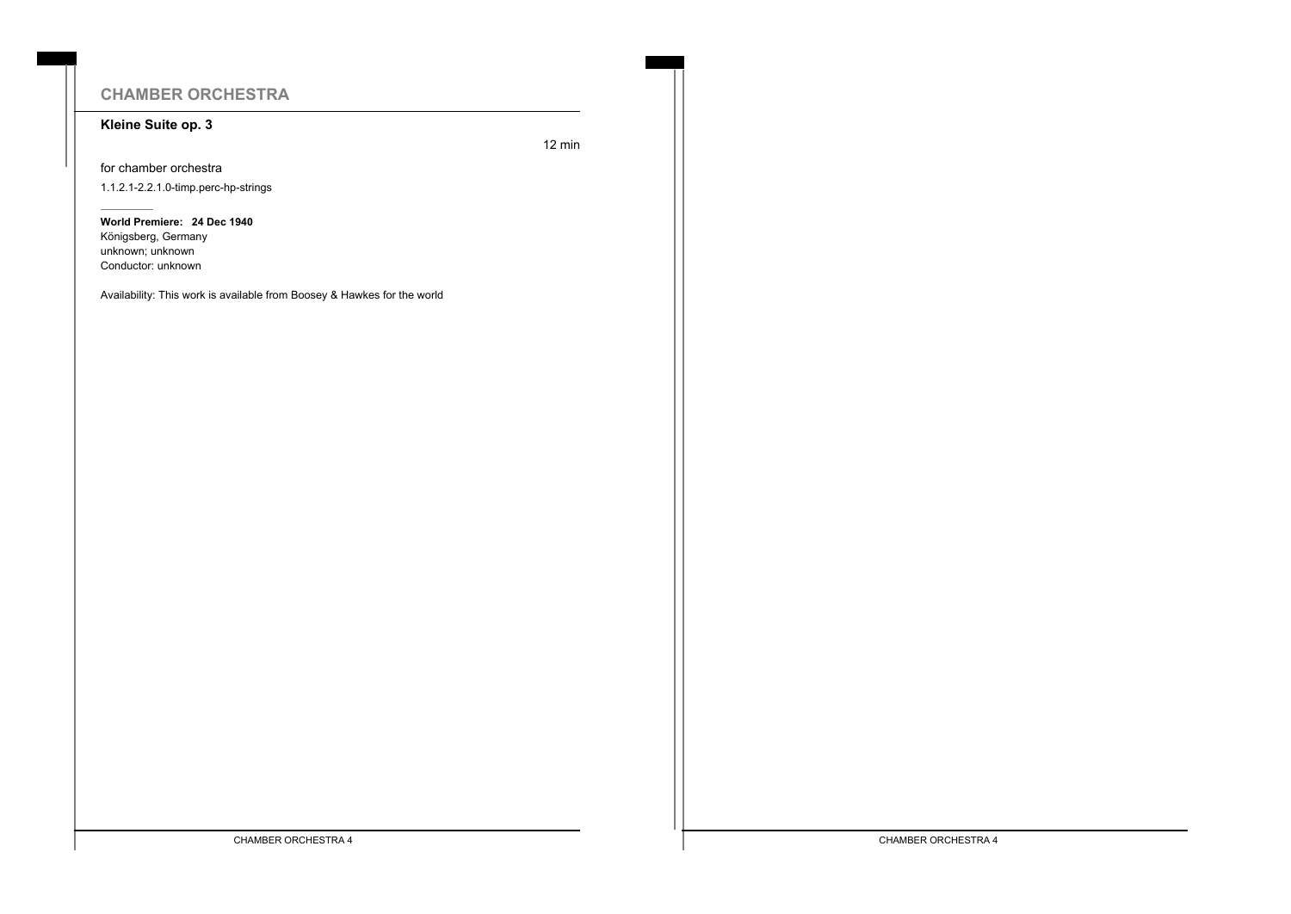# **CHAMBER ORCHESTRA**

### **Kleine Suite op. 3**

12 min

for chamber orchestra 1.1.2.1-2.2.1.0-timp.perc-hp-strings

**World Premiere: 24 Dec 1940** Königsberg, Germany unknown; unknown Conductor: unknown

Availability: This work is available from Boosey & Hawkes for the world